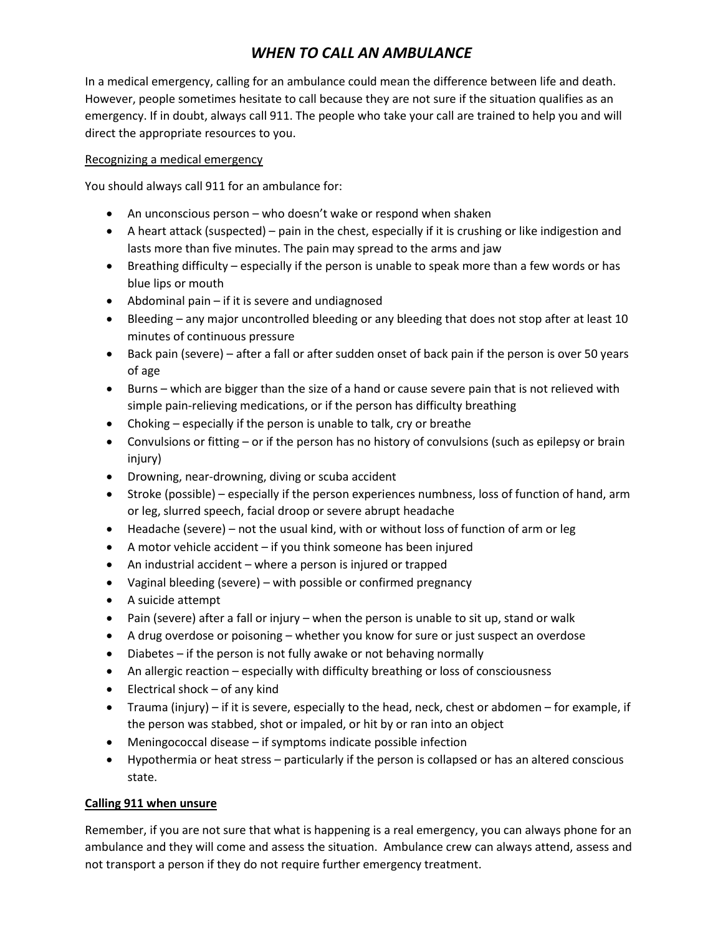# *WHEN TO CALL AN AMBULANCE*

In a medical emergency, calling for an ambulance could mean the difference between life and death. However, people sometimes hesitate to call because they are not sure if the situation qualifies as an emergency. If in doubt, always call 911. The people who take your call are trained to help you and will direct the appropriate resources to you.

## Recognizing a medical emergency

You should always call 911 for an ambulance for:

- An unconscious person who doesn't wake or respond when shaken
- A heart attack (suspected) pain in the chest, especially if it is crushing or like indigestion and lasts more than five minutes. The pain may spread to the arms and jaw
- Breathing difficulty especially if the person is unable to speak more than a few words or has blue lips or mouth
- Abdominal pain if it is severe and undiagnosed
- Bleeding any major uncontrolled bleeding or any bleeding that does not stop after at least 10 minutes of continuous pressure
- Back pain (severe) after a fall or after sudden onset of back pain if the person is over 50 years of age
- Burns which are bigger than the size of a hand or cause severe pain that is not relieved with simple pain-relieving medications, or if the person has difficulty breathing
- Choking especially if the person is unable to talk, cry or breathe
- Convulsions or fitting or if the person has no history of convulsions (such as epilepsy or brain injury)
- Drowning, near-drowning, diving or scuba accident
- Stroke (possible) especially if the person experiences numbness, loss of function of hand, arm or leg, slurred speech, facial droop or severe abrupt headache
- Headache (severe) not the usual kind, with or without loss of function of arm or leg
- A motor vehicle accident if you think someone has been injured
- An industrial accident where a person is injured or trapped
- Vaginal bleeding (severe) with possible or confirmed pregnancy
- A suicide attempt
- Pain (severe) after a fall or injury when the person is unable to sit up, stand or walk
- A drug overdose or poisoning whether you know for sure or just suspect an overdose
- Diabetes if the person is not fully awake or not behaving normally
- An allergic reaction especially with difficulty breathing or loss of consciousness
- Electrical shock of any kind
- Trauma (injury) if it is severe, especially to the head, neck, chest or abdomen for example, if the person was stabbed, shot or impaled, or hit by or ran into an object
- Meningococcal disease if symptoms indicate possible infection
- Hypothermia or heat stress particularly if the person is collapsed or has an altered conscious state.

## **Calling 911 when unsure**

Remember, if you are not sure that what is happening is a real emergency, you can always phone for an ambulance and they will come and assess the situation. Ambulance crew can always attend, assess and not transport a person if they do not require further emergency treatment.